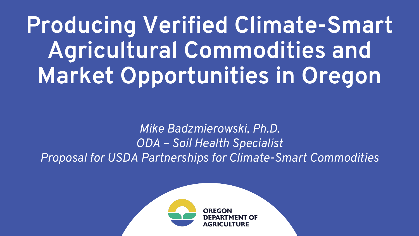**Producing Verified Climate-Smart Agricultural Commodities and Market Opportunities in Oregon**

*Mike Badzmierowski, Ph.D. ODA – Soil Health Specialist Proposal for USDA Partnerships for Climate-Smart Commodities*

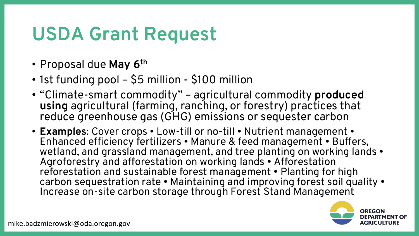## **USDA Grant Request**

- Proposal due **May 6th**
- 1st funding pool \$5 million \$100 million
- "Climate-smart commodity" agricultural commodity **produced using** agricultural (farming, ranching, or forestry) practices that reduce greenhouse gas (GHG) emissions or sequester carbon
- **Examples**: Cover crops Low-till or no-till Nutrient management Enhanced efficiency fertilizers • Manure & feed management • Buffers, wetland, and grassland management, and tree planting on working lands • Agroforestry and afforestation on working lands • Afforestation reforestation and sustainable forest management • Planting for high carbon sequestration rate • Maintaining and improving forest soil quality • Increase on-site carbon storage through Forest Stand Management

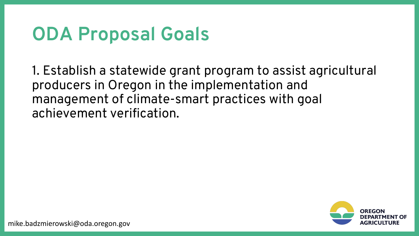### **ODA Proposal Goals**

1. Establish a statewide grant program to assist agricultural producers in Oregon in the implementation and management of climate-smart practices with goal achievement verification.



mike.badzmierowski@oda.oregon.gov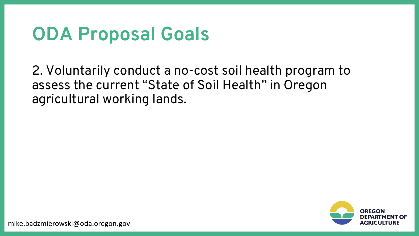### **ODA Proposal Goals**

2. Voluntarily conduct a no-cost soil health program to assess the current "State of Soil Health" in Oregon agricultural working lands.



mike.badzmierowski@oda.oregon.gov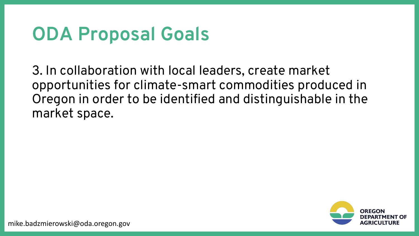### **ODA Proposal Goals**

3. In collaboration with local leaders, create market opportunities for climate-smart commodities produced in Oregon in order to be identified and distinguishable in the market space.

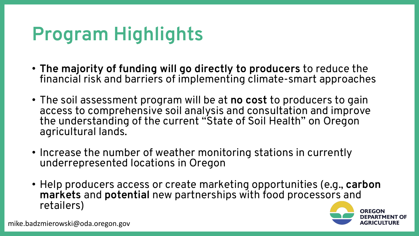# **Program Highlights**

- **The majority of funding will go directly to producers** to reduce the financial risk and barriers of implementing climate-smart approaches
- The soil assessment program will be at **no cost** to producers to gain access to comprehensive soil analysis and consultation and improve the understanding of the current "State of Soil Health" on Oregon agricultural lands.
- Increase the number of weather monitoring stations in currently underrepresented locations in Oregon
- Help producers access or create marketing opportunities (e.g., **carbon markets** and **potential** new partnerships with food processors and retailers)